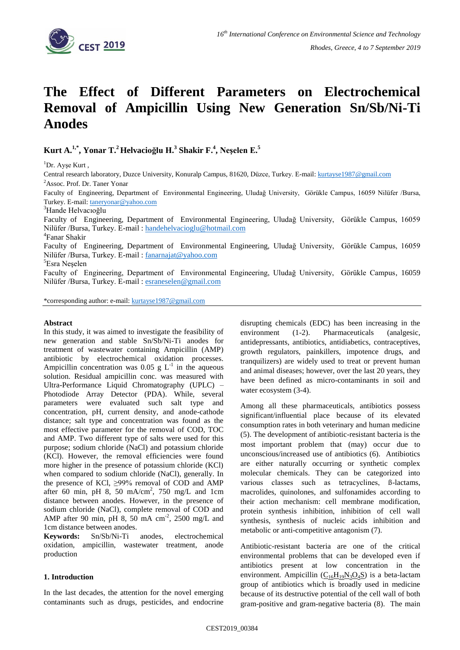

# **The Effect of Different Parameters on Electrochemical Removal of Ampicillin Using New Generation Sn/Sb/Ni-Ti Anodes**

**Kurt A. 1,\* , Yonar T. <sup>2</sup>Helvacioğlu H.<sup>3</sup> Shakir F.<sup>4</sup> , Neşelen E.<sup>5</sup>**

 ${}^{1}$ Dr. Ayse Kurt,

Central research laboratory, Duzce University, Konuralp Campus, 81620, Düzce, Turkey, E-mail[: kurtayse1987@gmail.com](mailto:kurtayse1987@gmail.com) <sup>2</sup>Assoc. Prof. Dr. Taner Yonar

Faculty of Engineering, Department of Environmental Engineering, Uludağ University, Görükle Campus, 16059 Nilüfer /Bursa, Turkey. E-mail[: taneryonar@yahoo.com](mailto:taneryonar@yahoo.com)

<sup>3</sup>Hande Helvacıoğlu

Faculty of Engineering, Department of Environmental Engineering, Uludağ University, Görükle Campus, 16059 Nilüfer /Bursa, Turkey. E-mail : [handehelvacioglu@hotmail.com](mailto:handehelvacioglu@hotmail.com)

4 Fanar Shakir

Faculty of Engineering, Department of Environmental Engineering, Uludağ University, Görükle Campus, 16059 Nilüfer /Bursa, Turkey. E-mail: [fanarnajat@yahoo.com](mailto:fanarnajat@yahoo.com)

<sup>5</sup>Esra Neşelen

Faculty of Engineering, Department of Environmental Engineering, Uludağ University, Görükle Campus, 16059 Nilüfer /Bursa, Turkey. E-mail : [esraneselen@gmail.com](mailto:esraneselen@gmail.com)

\*corresponding author: e-mail[: kurtayse1987@gmail.com](mailto:kurtayse1987@gmail.com)

## **Abstract**

In this study, it was aimed to investigate the feasibility of new generation and stable Sn/Sb/Ni-Ti anodes for treatment of wastewater containing Ampicillin (AMP) antibiotic by electrochemical oxidation processes. Ampicillin concentration was  $0.05$  g  $L^{-1}$  in the aqueous solution. Residual ampicillin conc. was measured with Ultra-Performance Liquid Chromatography (UPLC) – Photodiode Array Detector (PDA). While, several parameters were evaluated such salt type and concentration, pH, current density, and anode-cathode distance; salt type and concentration was found as the most effective parameter for the removal of COD, TOC and AMP. Two different type of salts were used for this purpose; sodium chloride (NaCl) and potassium chloride (KCl). However, the removal efficiencies were found more higher in the presence of potassium chloride (KCl) when compared to sodium chloride (NaCl), generally. In the presence of KCl, ≥99% removal of COD and AMP after 60 min, pH 8, 50 mA/cm<sup>2</sup>, 750 mg/L and 1cm distance between anodes. However, in the presence of sodium chloride (NaCl), complete removal of COD and AMP after 90 min, pH 8, 50 mA cm<sup>-2</sup>, 2500 mg/L and 1cm distance between anodes.

**Keywords:** Sn/Sb/Ni-Ti anodes, electrochemical oxidation, ampicillin, wastewater treatment, anode production

# **1. Introduction**

In the last decades, the attention for the novel emerging contaminants such as drugs, pesticides, and endocrine disrupting chemicals (EDC) has been increasing in the environment (1-2). Pharmaceuticals (analgesic, antidepressants, antibiotics, antidiabetics, contraceptives, growth regulators, painkillers, impotence drugs, and tranquilizers) are widely used to treat or prevent human and animal diseases; however, over the last 20 years, they have been defined as micro-contaminants in soil and water ecosystem (3-4).

Among all these pharmaceuticals, antibiotics possess significant/influential place because of its elevated consumption rates in both veterinary and human medicine (5). The development of antibiotic-resistant bacteria is the most important problem that (may) occur due to unconscious/increased use of antibiotics (6). Antibiotics are either naturally occurring or synthetic complex molecular chemicals. They can be categorized into various classes such as tetracyclines, ß-lactams, macrolides, quinolones, and sulfonamides according to their action mechanism: cell membrane modification, protein synthesis inhibition, inhibition of cell wall synthesis, synthesis of nucleic acids inhibition and metabolic or anti-competitive antagonism (7).

Antibiotic-resistant bacteria are one of the critical environmental problems that can be developed even if antibiotics present at low concentration in the environment. Ampicillin  $(C_{16}H_{19}N_3O_4S)$  $(C_{16}H_{19}N_3O_4S)$  is a beta-lactam group of antibiotics which is broadly used in medicine because of its destructive potential of the cell wall of both gram-positive and gram-negative bacteria (8). The main